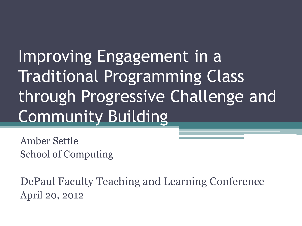Improving Engagement in a Traditional Programming Class through Progressive Challenge and Community Building

Amber Settle School of Computing

DePaul Faculty Teaching and Learning Conference April 20, 2012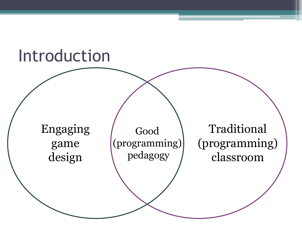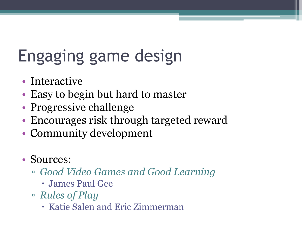# Engaging game design

- Interactive
- Easy to begin but hard to master
- Progressive challenge
- Encourages risk through targeted reward
- Community development
- Sources:
	- *Good Video Games and Good Learning*
		- James Paul Gee
	- *Rules of Play*
		- Katie Salen and Eric Zimmerman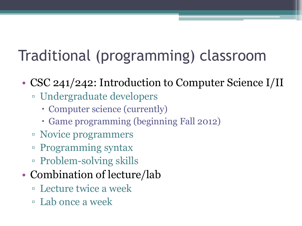### Traditional (programming) classroom

- CSC 241/242: Introduction to Computer Science I/II
	- Undergraduate developers
		- Computer science (currently)
		- Game programming (beginning Fall 2012)
	- Novice programmers
	- Programming syntax
	- Problem-solving skills
- Combination of lecture/lab
	- Lecture twice a week
	- Lab once a week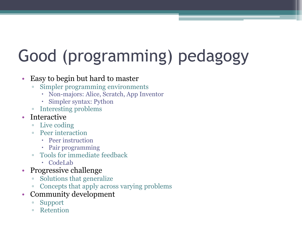# Good (programming) pedagogy

#### • Easy to begin but hard to master

- Simpler programming environments
	- Non-majors: Alice, Scratch, App Inventor
	- Simpler syntax: Python
- Interesting problems
- Interactive
	- Live coding
	- Peer interaction
		- Peer instruction
		- Pair programming
	- Tools for immediate feedback
		- CodeLab
- Progressive challenge
	- Solutions that generalize
	- Concepts that apply across varying problems
- Community development
	- Support
	- Retention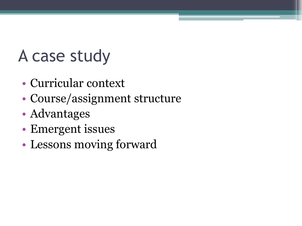## A case study

- Curricular context
- Course/assignment structure
- Advantages
- Emergent issues
- Lessons moving forward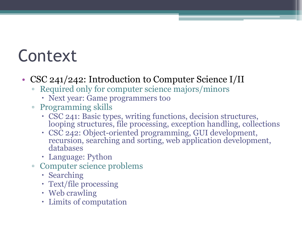### Context

- CSC 241/242: Introduction to Computer Science I/II
	- Required only for computer science majors/minors
		- Next year: Game programmers too
	- Programming skills
		- CSC 241: Basic types, writing functions, decision structures, looping structures, file processing, exception handling, collections
		- CSC 242: Object-oriented programming, GUI development, recursion, searching and sorting, web application development, databases
		- Language: Python
	- Computer science problems
		- Searching
		- Text/file processing
		- Web crawling
		- Limits of computation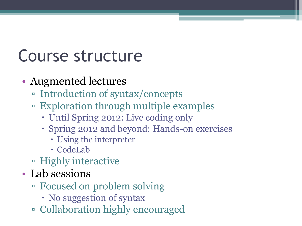## Course structure

#### • Augmented lectures

- Introduction of syntax/concepts
- Exploration through multiple examples
	- Until Spring 2012: Live coding only
	- Spring 2012 and beyond: Hands-on exercises
		- Using the interpreter
		- CodeLab
- Highly interactive
- Lab sessions
	- Focused on problem solving
		- No suggestion of syntax
	- Collaboration highly encouraged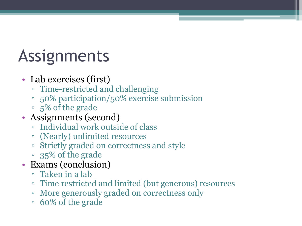## Assignments

#### • Lab exercises (first)

- Time-restricted and challenging
- 50% participation/50% exercise submission
- 5% of the grade
- Assignments (second)
	- Individual work outside of class
	- (Nearly) unlimited resources
	- Strictly graded on correctness and style
	- 35% of the grade
- Exams (conclusion)
	- Taken in a lab
	- Time restricted and limited (but generous) resources
	- More generously graded on correctness only
	- 60% of the grade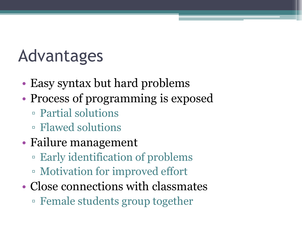### Advantages

- Easy syntax but hard problems
- Process of programming is exposed
	- Partial solutions
	- Flawed solutions
- Failure management
	- Early identification of problems
	- Motivation for improved effort
- Close connections with classmates ▫ Female students group together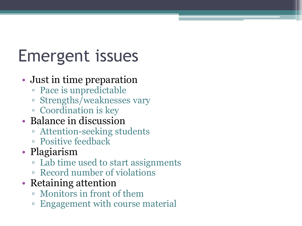## Emergent issues

#### • Just in time preparation

- Pace is unpredictable
- Strengths/weaknesses vary
- Coordination is key
- Balance in discussion
	- Attention-seeking students
	- Positive feedback
- Plagiarism
	- Lab time used to start assignments
	- Record number of violations
- Retaining attention
	- Monitors in front of them
	- Engagement with course material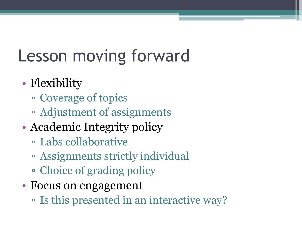## Lesson moving forward

#### • Flexibility

- Coverage of topics
- Adjustment of assignments
- Academic Integrity policy
	- Labs collaborative
	- Assignments strictly individual
	- Choice of grading policy
- Focus on engagement
	- Is this presented in an interactive way?